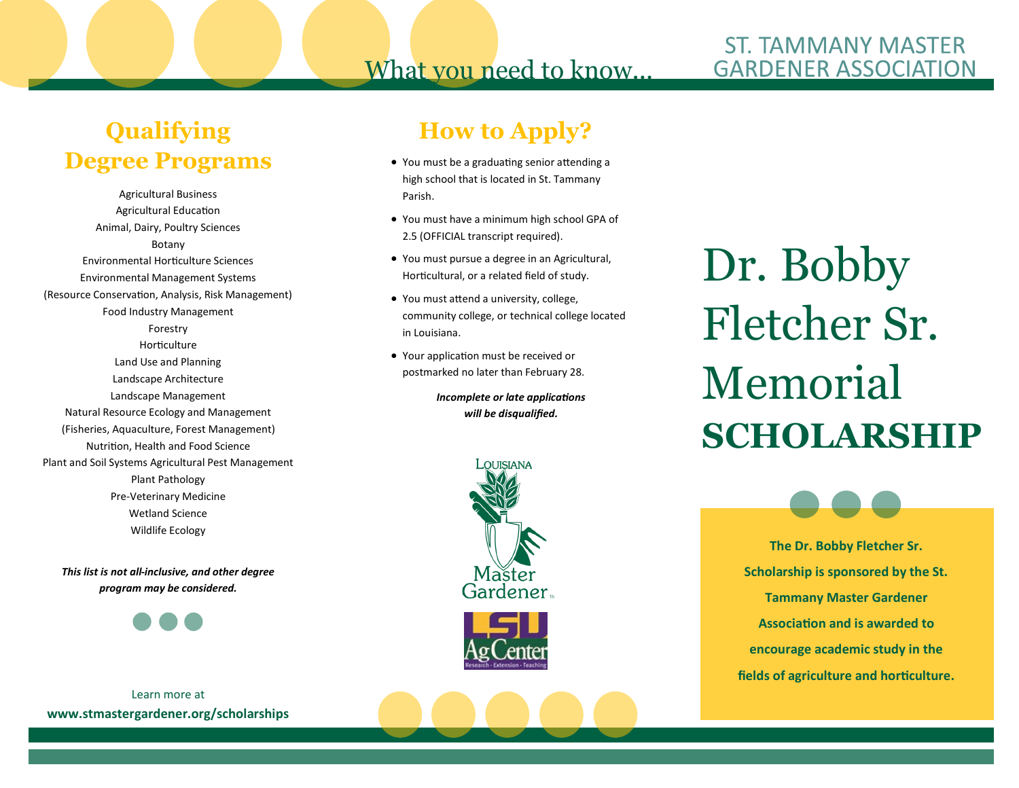## What you need to know...

### **ST. TAMMANY MASTER GARDENER ASSOCIATION**

## **Qualifying Degree Programs**

Agricultural Business Agricultural Education Animal, Dairy, Poultry Sciences Botany Environmental Horticulture Sciences Environmental Management Systems (Resource Conservation, Analysis, Risk Management) Food Industry Management Forestry Horticulture Land Use and Planning Landscape Architecture Landscape Management Natural Resource Ecology and Management (Fisheries, Aquaculture, Forest Management) Nutrition, Health and Food Science Plant and Soil Systems Agricultural Pest Management Plant Pathology Pre-Veterinary Medicine Wetland Science Wildlife Ecology

*This list is not all-inclusive, and other degree program may be considered.*



Learn more at **www.stmastergardener.org/scholarships**

## **How to Apply?**

- You must be a graduating senior attending a high school that is located in St. Tammany Parish.
- You must have a minimum high school GPA of 2.5 (OFFICIAL transcript required).
- You must pursue a degree in an Agricultural, Horticultural, or a related field of study.
- You must attend a university, college, community college, or technical college located in Louisiana.
- Your application must be received or postmarked no later than February 28.

*Incomplete or late applications will be disqualified.* 





Dr. Bobby Fletcher Sr. Memorial **SCHOLARSHIP**

> **The Dr. Bobby Fletcher Sr. Scholarship is sponsored by the St. Tammany Master Gardener Association and is awarded to encourage academic study in the fields of agriculture and horticulture.**